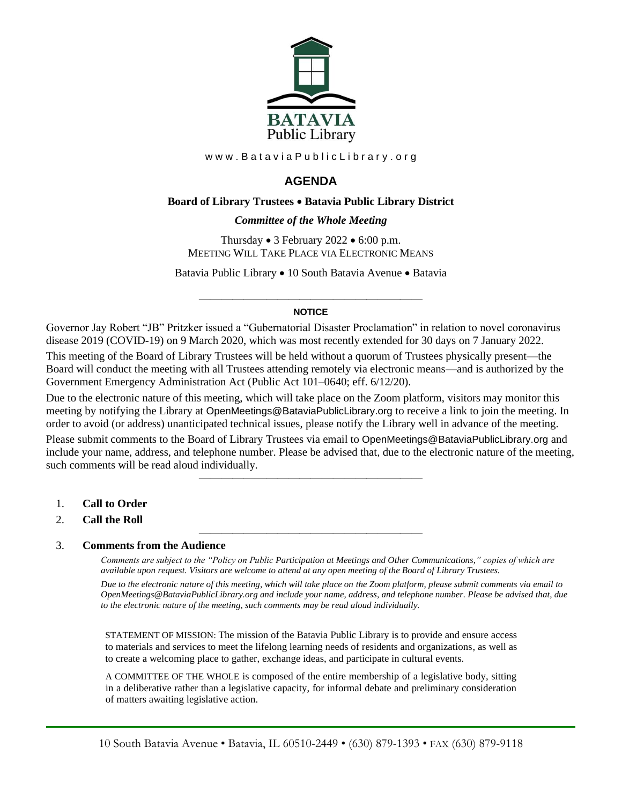

www.BataviaPublicLibrary.org

# **AGENDA**

## **Board of Library Trustees** • **Batavia Public Library District**

## *0BCommittee of the Whole Meeting*

Thursday • 3 February 2022 • 6:00 p.m. MEETING WILL TAKE PLACE VIA ELECTRONIC MEANS

Batavia Public Library • 10 South Batavia Avenue • Batavia

## ———————————————————— **NOTICE**

Governor Jay Robert "JB" Pritzker issued a "Gubernatorial Disaster Proclamation" in relation to novel coronavirus disease 2019 (COVID-19) on 9 March 2020, which was most recently extended for 30 days on 7 January 2022. This meeting of the Board of Library Trustees will be held without a quorum of Trustees physically present—the Board will conduct the meeting with all Trustees attending remotely via electronic means—and is authorized by the Government Emergency Administration Act (Public Act 101–0640; eff. 6/12/20).

Due to the electronic nature of this meeting, which will take place on the Zoom platform, visitors may monitor this meeting by notifying the Library at OpenMeetings@BataviaPublicLibrary.org to receive a link to join the meeting. In order to avoid (or address) unanticipated technical issues, please notify the Library well in advance of the meeting.

Please submit comments to the Board of Library Trustees via email to OpenMeetings@BataviaPublicLibrary.org and include your name, address, and telephone number. Please be advised that, due to the electronic nature of the meeting, such comments will be read aloud individually.

————————————————————

————————————————————

- 1. **Call to Order**
- 2. **Call the Roll**

### 3. **Comments from the Audience**

*Comments are subject to the "Policy on Public Participation at Meetings and Other Communications," copies of which are available upon request. Visitors are welcome to attend at any open meeting of the Board of Library Trustees. Due to the electronic nature of this meeting, which will take place on the Zoom platform, please submit comments via email to OpenMeetings@BataviaPublicLibrary.org and include your name, address, and telephone number. Please be advised that, due to the electronic nature of the meeting, such comments may be read aloud individually.*

STATEMENT OF MISSION: The mission of the Batavia Public Library is to provide and ensure access to materials and services to meet the lifelong learning needs of residents and organizations, as well as to create a welcoming place to gather, exchange ideas, and participate in cultural events.

A COMMITTEE OF THE WHOLE is composed of the entire membership of a legislative body, sitting in a deliberative rather than a legislative capacity, for informal debate and preliminary consideration of matters awaiting legislative action.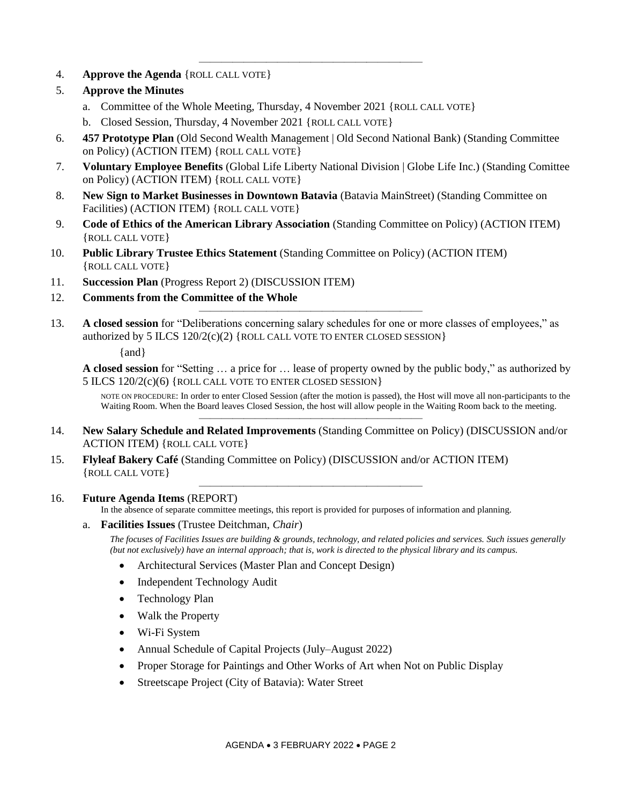4. **Approve the Agenda** {ROLL CALL VOTE}

## 5. **Approve the Minutes**

- a. Committee of the Whole Meeting, Thursday, 4 November 2021 {ROLL CALL VOTE}
- b. Closed Session, Thursday, 4 November 2021 {ROLL CALL VOTE}
- 6. **457 Prototype Plan** (Old Second Wealth Management | Old Second National Bank) (Standing Committee on Policy) (ACTION ITEM) {ROLL CALL VOTE}

————————————————————

- 7. **Voluntary Employee Benefits** (Global Life Liberty National Division | Globe Life Inc.) (Standing Comittee on Policy) (ACTION ITEM) {ROLL CALL VOTE}
- 8. **New Sign to Market Businesses in Downtown Batavia** (Batavia MainStreet) (Standing Committee on Facilities) (ACTION ITEM) {ROLL CALL VOTE}
- 9. **Code of Ethics of the American Library Association** (Standing Committee on Policy) (ACTION ITEM) {ROLL CALL VOTE}
- 10. **Public Library Trustee Ethics Statement** (Standing Committee on Policy) (ACTION ITEM) {ROLL CALL VOTE}
- 11. **Succession Plan** (Progress Report 2) (DISCUSSION ITEM)
- 12. **Comments from the Committee of the Whole**
- 13. **A closed session** for "Deliberations concerning salary schedules for one or more classes of employees," as authorized by 5 ILCS 120/2(c)(2) {ROLL CALL VOTE TO ENTER CLOSED SESSION}

————————————————————

{and}

**A closed session** for "Setting … a price for … lease of property owned by the public body," as authorized by 5 ILCS 120/2(c)(6) {ROLL CALL VOTE TO ENTER CLOSED SESSION}

NOTE ON PROCEDURE: In order to enter Closed Session (after the motion is passed), the Host will move all non-participants to the Waiting Room. When the Board leaves Closed Session, the host will allow people in the Waiting Room back to the meeting. ————————————————————

- 14. **New Salary Schedule and Related Improvements** (Standing Committee on Policy) (DISCUSSION and/or ACTION ITEM) {ROLL CALL VOTE}
- 15. **Flyleaf Bakery Café** (Standing Committee on Policy) (DISCUSSION and/or ACTION ITEM) {ROLL CALL VOTE}

## 16. **Future Agenda Items** (REPORT)

In the absence of separate committee meetings, this report is provided for purposes of information and planning.

————————————————————

a. **Facilities Issues** (Trustee Deitchman, *Chair*)

*The focuses of Facilities Issues are building & grounds, technology, and related policies and services. Such issues generally (but not exclusively) have an internal approach; that is, work is directed to the physical library and its campus.*

- Architectural Services (Master Plan and Concept Design)
- Independent Technology Audit
- Technology Plan
- Walk the Property
- Wi-Fi System
- Annual Schedule of Capital Projects (July–August 2022)
- Proper Storage for Paintings and Other Works of Art when Not on Public Display
- Streetscape Project (City of Batavia): Water Street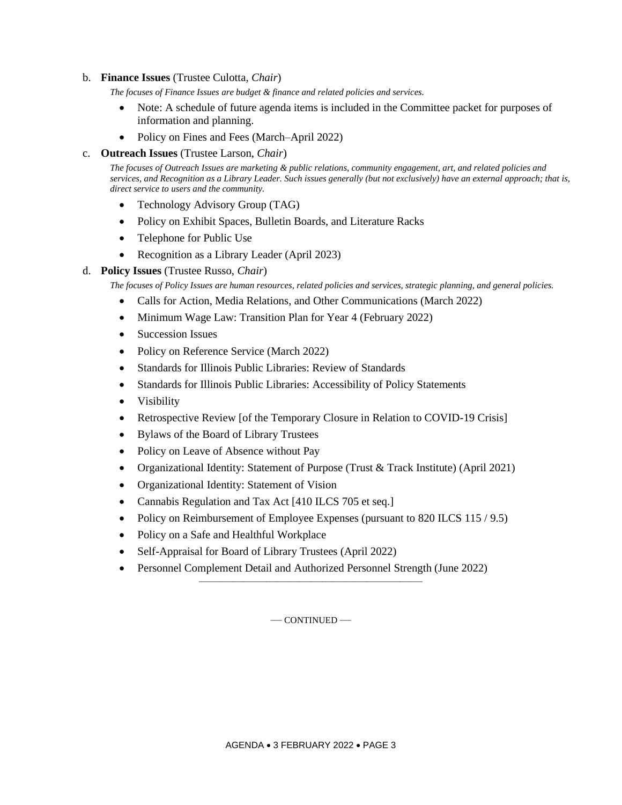### b. **Finance Issues** (Trustee Culotta, *Chair*)

*The focuses of Finance Issues are budget & finance and related policies and services.*

- Note: A schedule of future agenda items is included in the Committee packet for purposes of information and planning.
- Policy on Fines and Fees (March–April 2022)

#### c. **Outreach Issues** (Trustee Larson, *Chair*)

*The focuses of Outreach Issues are marketing & public relations, community engagement, art, and related policies and services, and Recognition as a Library Leader. Such issues generally (but not exclusively) have an external approach; that is, direct service to users and the community.*

- Technology Advisory Group (TAG)
- Policy on Exhibit Spaces, Bulletin Boards, and Literature Racks
- Telephone for Public Use
- Recognition as a Library Leader (April 2023)

### d. **Policy Issues** (Trustee Russo, *Chair*)

*The focuses of Policy Issues are human resources, related policies and services, strategic planning, and general policies.*

- Calls for Action, Media Relations, and Other Communications (March 2022)
- Minimum Wage Law: Transition Plan for Year 4 (February 2022)
- Succession Issues
- Policy on Reference Service (March 2022)
- Standards for Illinois Public Libraries: Review of Standards
- Standards for Illinois Public Libraries: Accessibility of Policy Statements
- Visibility
- Retrospective Review [of the Temporary Closure in Relation to COVID-19 Crisis]
- Bylaws of the Board of Library Trustees
- Policy on Leave of Absence without Pay
- Organizational Identity: Statement of Purpose (Trust & Track Institute) (April 2021)
- Organizational Identity: Statement of Vision
- Cannabis Regulation and Tax Act [410 ILCS 705 et seq.]
- Policy on Reimbursement of Employee Expenses (pursuant to 820 ILCS 115 / 9.5)
- Policy on a Safe and Healthful Workplace
- Self-Appraisal for Board of Library Trustees (April 2022)
- Personnel Complement Detail and Authorized Personnel Strength (June 2022)

— CONTINUED —

————————————————————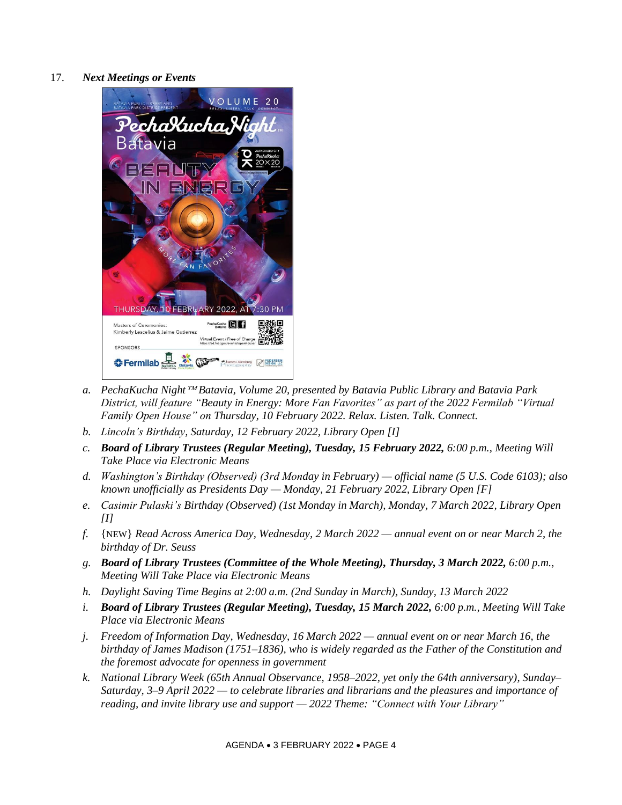17. *Next Meetings or Events*



- *a. PechaKucha Night Batavia, Volume 20, presented by Batavia Public Library and Batavia Park District, will feature "Beauty in Energy: More Fan Favorites" as part of the 2022 Fermilab "Virtual Family Open House" on Thursday, 10 February 2022. Relax. Listen. Talk. Connect.*
- *b. Lincoln's Birthday, Saturday, 12 February 2022, Library Open [I]*
- *c. Board of Library Trustees (Regular Meeting), Tuesday, 15 February 2022, 6:00 p.m., Meeting Will Take Place via Electronic Means*
- *d. Washington's Birthday (Observed) (3rd Monday in February) — official name (5 U.S. Code 6103); also known unofficially as Presidents Day — Monday, 21 February 2022, Library Open [F]*
- *e. Casimir Pulaski's Birthday (Observed) (1st Monday in March), Monday, 7 March 2022, Library Open [I]*
- *f.* {NEW} *Read Across America Day, Wednesday, 2 March 2022 — annual event on or near March 2, the birthday of Dr. Seuss*
- *g. Board of Library Trustees (Committee of the Whole Meeting), Thursday, 3 March 2022, 6:00 p.m., Meeting Will Take Place via Electronic Means*
- *h. Daylight Saving Time Begins at 2:00 a.m. (2nd Sunday in March), Sunday, 13 March 2022*
- *i. Board of Library Trustees (Regular Meeting), Tuesday, 15 March 2022, 6:00 p.m., Meeting Will Take Place via Electronic Means*
- *j. Freedom of Information Day, Wednesday, 16 March 2022 — annual event on or near March 16, the birthday of James Madison (1751–1836), who is widely regarded as the Father of the Constitution and the foremost advocate for openness in government*
- *k. National Library Week (65th Annual Observance, 1958–2022, yet only the 64th anniversary), Sunday– Saturday, 3–9 April 2022 — to celebrate libraries and librarians and the pleasures and importance of reading, and invite library use and support — 2022 Theme: "Connect with Your Library"*